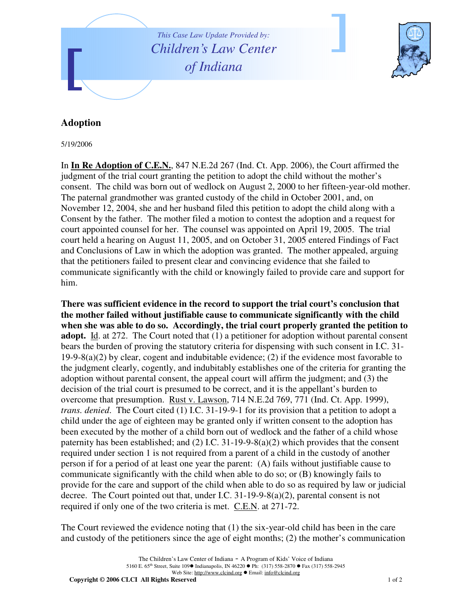

## **Adoption**

5/19/2006

In **In Re Adoption of C.E.N.**, 847 N.E.2d 267 (Ind. Ct. App. 2006), the Court affirmed the judgment of the trial court granting the petition to adopt the child without the mother's consent. The child was born out of wedlock on August 2, 2000 to her fifteen-year-old mother. The paternal grandmother was granted custody of the child in October 2001, and, on November 12, 2004, she and her husband filed this petition to adopt the child along with a Consent by the father. The mother filed a motion to contest the adoption and a request for court appointed counsel for her. The counsel was appointed on April 19, 2005. The trial court held a hearing on August 11, 2005, and on October 31, 2005 entered Findings of Fact and Conclusions of Law in which the adoption was granted. The mother appealed, arguing that the petitioners failed to present clear and convincing evidence that she failed to communicate significantly with the child or knowingly failed to provide care and support for him.

**There was sufficient evidence in the record to support the trial court's conclusion that the mother failed without justifiable cause to communicate significantly with the child when she was able to do so. Accordingly, the trial court properly granted the petition to adopt.** Id. at 272. The Court noted that (1) a petitioner for adoption without parental consent bears the burden of proving the statutory criteria for dispensing with such consent in I.C. 31- 19-9-8(a)(2) by clear, cogent and indubitable evidence; (2) if the evidence most favorable to the judgment clearly, cogently, and indubitably establishes one of the criteria for granting the adoption without parental consent, the appeal court will affirm the judgment; and (3) the decision of the trial court is presumed to be correct, and it is the appellant's burden to overcome that presumption. Rust v. Lawson, 714 N.E.2d 769, 771 (Ind. Ct. App. 1999), *trans. denied*. The Court cited (1) I.C. 31-19-9-1 for its provision that a petition to adopt a child under the age of eighteen may be granted only if written consent to the adoption has been executed by the mother of a child born out of wedlock and the father of a child whose paternity has been established; and (2) I.C. 31-19-9-8(a)(2) which provides that the consent required under section 1 is not required from a parent of a child in the custody of another person if for a period of at least one year the parent: (A) fails without justifiable cause to communicate significantly with the child when able to do so; or (B) knowingly fails to provide for the care and support of the child when able to do so as required by law or judicial decree. The Court pointed out that, under I.C. 31-19-9-8(a)(2), parental consent is not required if only one of the two criteria is met. C.E.N. at 271-72.

The Court reviewed the evidence noting that (1) the six-year-old child has been in the care and custody of the petitioners since the age of eight months; (2) the mother's communication